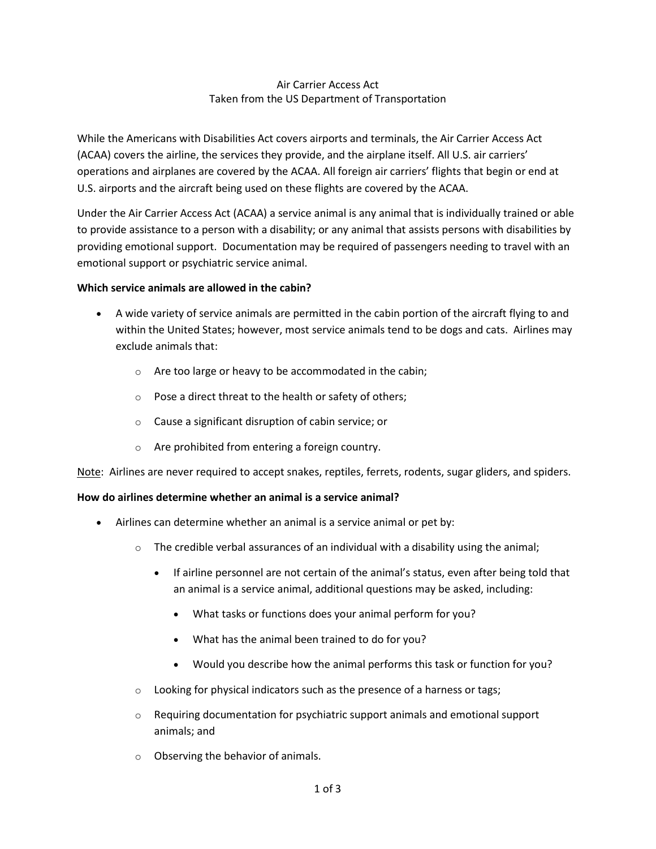### Air Carrier Access Act Taken from the US Department of Transportation

While the Americans with Disabilities Act covers airports and terminals, the Air Carrier Access Act (ACAA) covers the airline, the services they provide, and the airplane itself. All U.S. air carriers' operations and airplanes are covered by the ACAA. All foreign air carriers' flights that begin or end at U.S. airports and the aircraft being used on these flights are covered by the ACAA.

Under the Air Carrier Access Act (ACAA) a service animal is any animal that is individually trained or able to provide assistance to a person with a disability; or any animal that assists persons with disabilities by providing emotional support. Documentation may be required of passengers needing to travel with an emotional support or psychiatric service animal.

#### **Which service animals are allowed in the cabin?**

- A wide variety of service animals are permitted in the cabin portion of the aircraft flying to and within the United States; however, most service animals tend to be dogs and cats. Airlines may exclude animals that:
	- o Are too large or heavy to be accommodated in the cabin;
	- o Pose a direct threat to the health or safety of others;
	- o Cause a significant disruption of cabin service; or
	- o Are prohibited from entering a foreign country.

Note: Airlines are never required to accept snakes, reptiles, ferrets, rodents, sugar gliders, and spiders.

### **How do airlines determine whether an animal is a service animal?**

- Airlines can determine whether an animal is a service animal or pet by:
	- $\circ$  The credible verbal assurances of an individual with a disability using the animal;
		- If airline personnel are not certain of the animal's status, even after being told that an animal is a service animal, additional questions may be asked, including:
			- What tasks or functions does your animal perform for you?
			- What has the animal been trained to do for you?
			- Would you describe how the animal performs this task or function for you?
	- o Looking for physical indicators such as the presence of a harness or tags;
	- $\circ$  Requiring documentation for psychiatric support animals and emotional support animals; and
	- o Observing the behavior of animals.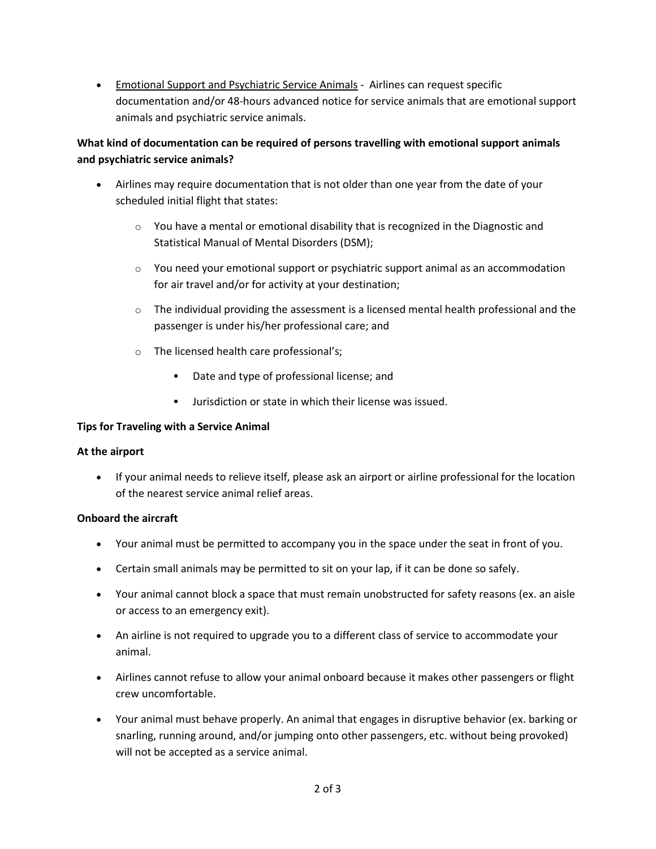• Emotional Support and Psychiatric Service Animals - Airlines can request specific documentation and/or 48-hours advanced notice for service animals that are emotional support animals and psychiatric service animals.

# **What kind of documentation can be required of persons travelling with emotional support animals and psychiatric service animals?**

- Airlines may require documentation that is not older than one year from the date of your scheduled initial flight that states:
	- $\circ$  You have a mental or emotional disability that is recognized in the Diagnostic and Statistical Manual of Mental Disorders (DSM);
	- $\circ$  You need your emotional support or psychiatric support animal as an accommodation for air travel and/or for activity at your destination;
	- $\circ$  The individual providing the assessment is a licensed mental health professional and the passenger is under his/her professional care; and
	- o The licensed health care professional's;
		- Date and type of professional license; and
		- Jurisdiction or state in which their license was issued.

### **Tips for Traveling with a Service Animal**

### **At the airport**

• If your animal needs to relieve itself, please ask an airport or airline professional for the location of the nearest service animal relief areas.

### **Onboard the aircraft**

- Your animal must be permitted to accompany you in the space under the seat in front of you.
- Certain small animals may be permitted to sit on your lap, if it can be done so safely.
- Your animal cannot block a space that must remain unobstructed for safety reasons (ex. an aisle or access to an emergency exit).
- An airline is not required to upgrade you to a different class of service to accommodate your animal.
- Airlines cannot refuse to allow your animal onboard because it makes other passengers or flight crew uncomfortable.
- Your animal must behave properly. An animal that engages in disruptive behavior (ex. barking or snarling, running around, and/or jumping onto other passengers, etc. without being provoked) will not be accepted as a service animal.